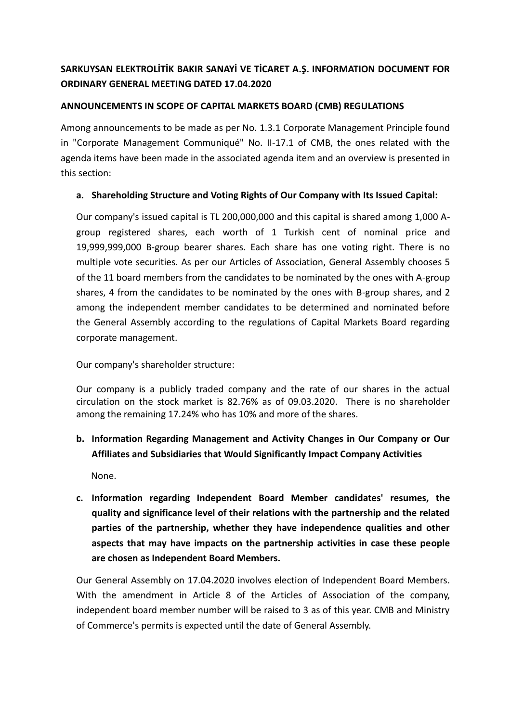# **SARKUYSAN ELEKTROLİTİK BAKIR SANAYİ VE TİCARET A.Ş. INFORMATION DOCUMENT FOR ORDINARY GENERAL MEETING DATED 17.04.2020**

#### **ANNOUNCEMENTS IN SCOPE OF CAPITAL MARKETS BOARD (CMB) REGULATIONS**

Among announcements to be made as per No. 1.3.1 Corporate Management Principle found in "Corporate Management Communiqué" No. II-17.1 of CMB, the ones related with the agenda items have been made in the associated agenda item and an overview is presented in this section:

#### **a. Shareholding Structure and Voting Rights of Our Company with Its Issued Capital:**

Our company's issued capital is TL 200,000,000 and this capital is shared among 1,000 Agroup registered shares, each worth of 1 Turkish cent of nominal price and 19,999,999,000 B-group bearer shares. Each share has one voting right. There is no multiple vote securities. As per our Articles of Association, General Assembly chooses 5 of the 11 board members from the candidates to be nominated by the ones with A-group shares, 4 from the candidates to be nominated by the ones with B-group shares, and 2 among the independent member candidates to be determined and nominated before the General Assembly according to the regulations of Capital Markets Board regarding corporate management.

Our company's shareholder structure:

Our company is a publicly traded company and the rate of our shares in the actual circulation on the stock market is 82.76% as of 09.03.2020. There is no shareholder among the remaining 17.24% who has 10% and more of the shares.

## **b. Information Regarding Management and Activity Changes in Our Company or Our Affiliates and Subsidiaries that Would Significantly Impact Company Activities**

None.

**c. Information regarding Independent Board Member candidates' resumes, the quality and significance level of their relations with the partnership and the related parties of the partnership, whether they have independence qualities and other aspects that may have impacts on the partnership activities in case these people are chosen as Independent Board Members.**

Our General Assembly on 17.04.2020 involves election of Independent Board Members. With the amendment in Article 8 of the Articles of Association of the company, independent board member number will be raised to 3 as of this year. CMB and Ministry of Commerce's permits is expected until the date of General Assembly.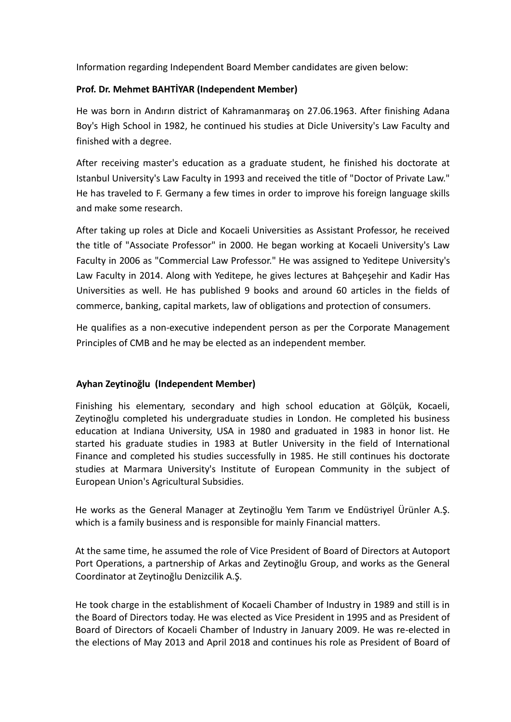Information regarding Independent Board Member candidates are given below:

#### **Prof. Dr. Mehmet BAHTİYAR (Independent Member)**

He was born in Andırın district of Kahramanmaraş on 27.06.1963. After finishing Adana Boy's High School in 1982, he continued his studies at Dicle University's Law Faculty and finished with a degree.

After receiving master's education as a graduate student, he finished his doctorate at Istanbul University's Law Faculty in 1993 and received the title of "Doctor of Private Law." He has traveled to F. Germany a few times in order to improve his foreign language skills and make some research.

After taking up roles at Dicle and Kocaeli Universities as Assistant Professor, he received the title of "Associate Professor" in 2000. He began working at Kocaeli University's Law Faculty in 2006 as "Commercial Law Professor." He was assigned to Yeditepe University's Law Faculty in 2014. Along with Yeditepe, he gives lectures at Bahçeşehir and Kadir Has Universities as well. He has published 9 books and around 60 articles in the fields of commerce, banking, capital markets, law of obligations and protection of consumers.

He qualifies as a non-executive independent person as per the Corporate Management Principles of CMB and he may be elected as an independent member.

#### **Ayhan Zeytinoğlu (Independent Member)**

Finishing his elementary, secondary and high school education at Gölçük, Kocaeli, Zeytinoğlu completed his undergraduate studies in London. He completed his business education at Indiana University, USA in 1980 and graduated in 1983 in honor list. He started his graduate studies in 1983 at Butler University in the field of International Finance and completed his studies successfully in 1985. He still continues his doctorate studies at Marmara University's Institute of European Community in the subject of European Union's Agricultural Subsidies.

He works as the General Manager at Zeytinoğlu Yem Tarım ve Endüstriyel Ürünler A.Ş. which is a family business and is responsible for mainly Financial matters.

At the same time, he assumed the role of Vice President of Board of Directors at Autoport Port Operations, a partnership of Arkas and Zeytinoğlu Group, and works as the General Coordinator at Zeytinoğlu Denizcilik A.Ş.

He took charge in the establishment of Kocaeli Chamber of Industry in 1989 and still is in the Board of Directors today. He was elected as Vice President in 1995 and as President of Board of Directors of Kocaeli Chamber of Industry in January 2009. He was re-elected in the elections of May 2013 and April 2018 and continues his role as President of Board of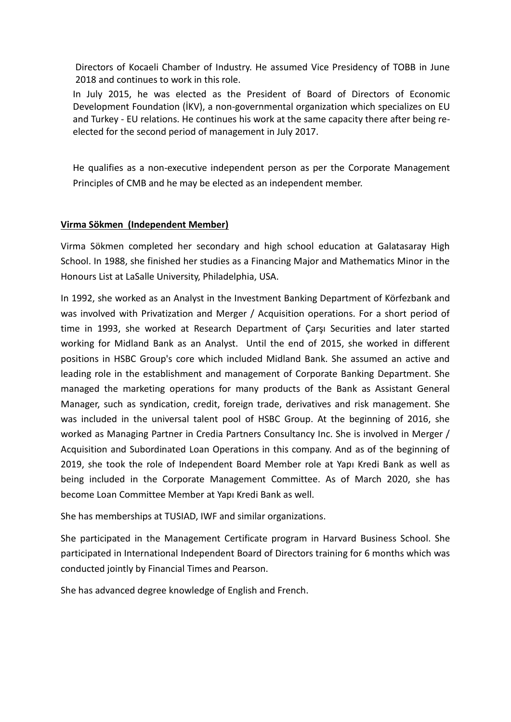Directors of Kocaeli Chamber of Industry. He assumed Vice Presidency of TOBB in June 2018 and continues to work in this role.

In July 2015, he was elected as the President of Board of Directors of Economic Development Foundation (İKV), a non-governmental organization which specializes on EU and Turkey - EU relations. He continues his work at the same capacity there after being reelected for the second period of management in July 2017.

He qualifies as a non-executive independent person as per the Corporate Management Principles of CMB and he may be elected as an independent member.

### **Virma Sökmen (Independent Member)**

Virma Sökmen completed her secondary and high school education at Galatasaray High School. In 1988, she finished her studies as a Financing Major and Mathematics Minor in the Honours List at LaSalle University, Philadelphia, USA.

In 1992, she worked as an Analyst in the Investment Banking Department of Körfezbank and was involved with Privatization and Merger / Acquisition operations. For a short period of time in 1993, she worked at Research Department of Çarşı Securities and later started working for Midland Bank as an Analyst. Until the end of 2015, she worked in different positions in HSBC Group's core which included Midland Bank. She assumed an active and leading role in the establishment and management of Corporate Banking Department. She managed the marketing operations for many products of the Bank as Assistant General Manager, such as syndication, credit, foreign trade, derivatives and risk management. She was included in the universal talent pool of HSBC Group. At the beginning of 2016, she worked as Managing Partner in Credia Partners Consultancy Inc. She is involved in Merger / Acquisition and Subordinated Loan Operations in this company. And as of the beginning of 2019, she took the role of Independent Board Member role at Yapı Kredi Bank as well as being included in the Corporate Management Committee. As of March 2020, she has become Loan Committee Member at Yapı Kredi Bank as well.

She has memberships at TUSIAD, IWF and similar organizations.

She participated in the Management Certificate program in Harvard Business School. She participated in International Independent Board of Directors training for 6 months which was conducted jointly by Financial Times and Pearson.

She has advanced degree knowledge of English and French.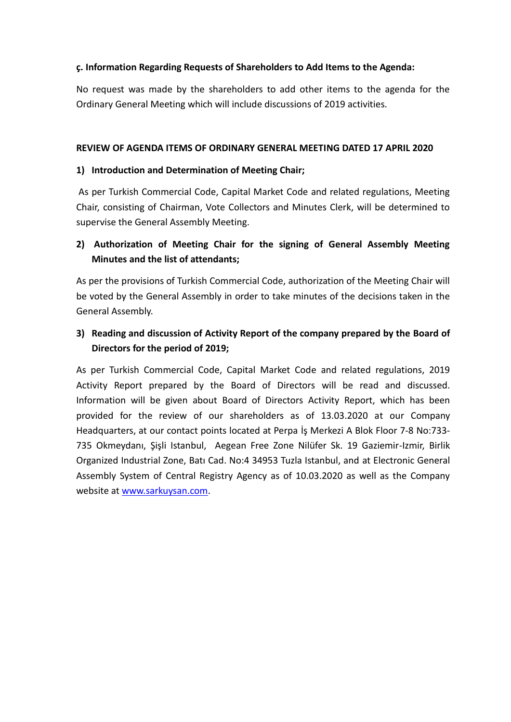#### **ç. Information Regarding Requests of Shareholders to Add Items to the Agenda:**

No request was made by the shareholders to add other items to the agenda for the Ordinary General Meeting which will include discussions of 2019 activities.

#### **REVIEW OF AGENDA ITEMS OF ORDINARY GENERAL MEETING DATED 17 APRIL 2020**

#### **1) Introduction and Determination of Meeting Chair;**

As per Turkish Commercial Code, Capital Market Code and related regulations, Meeting Chair, consisting of Chairman, Vote Collectors and Minutes Clerk, will be determined to supervise the General Assembly Meeting.

## **2) Authorization of Meeting Chair for the signing of General Assembly Meeting Minutes and the list of attendants;**

As per the provisions of Turkish Commercial Code, authorization of the Meeting Chair will be voted by the General Assembly in order to take minutes of the decisions taken in the General Assembly.

# **3) Reading and discussion of Activity Report of the company prepared by the Board of Directors for the period of 2019;**

As per Turkish Commercial Code, Capital Market Code and related regulations, 2019 Activity Report prepared by the Board of Directors will be read and discussed. Information will be given about Board of Directors Activity Report, which has been provided for the review of our shareholders as of 13.03.2020 at our Company Headquarters, at our contact points located at Perpa İş Merkezi A Blok Floor 7-8 No:733- 735 Okmeydanı, Şişli Istanbul, Aegean Free Zone Nilüfer Sk. 19 Gaziemir-Izmir, Birlik Organized Industrial Zone, Batı Cad. No:4 34953 Tuzla Istanbul, and at Electronic General Assembly System of Central Registry Agency as of 10.03.2020 as well as the Company website at [www.sarkuysan.com.](http://www.sarkuysan.com/)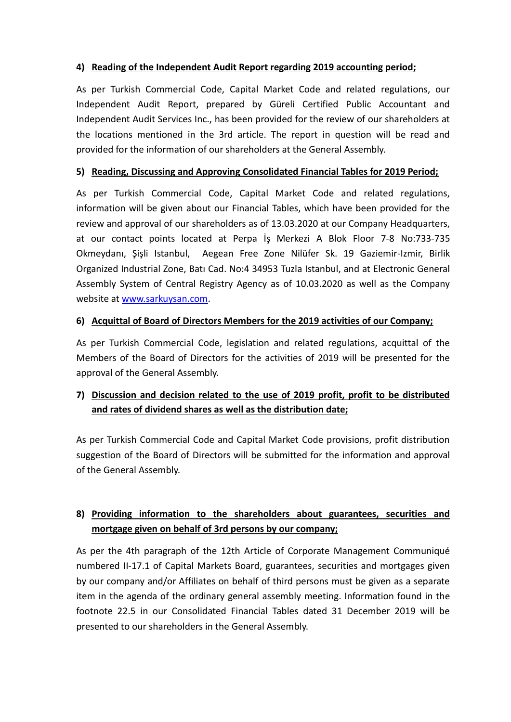### **4) Reading of the Independent Audit Report regarding 2019 accounting period;**

As per Turkish Commercial Code, Capital Market Code and related regulations, our Independent Audit Report, prepared by Güreli Certified Public Accountant and Independent Audit Services Inc., has been provided for the review of our shareholders at the locations mentioned in the 3rd article. The report in question will be read and provided for the information of our shareholders at the General Assembly.

#### **5) Reading, Discussing and Approving Consolidated Financial Tables for 2019 Period;**

As per Turkish Commercial Code, Capital Market Code and related regulations, information will be given about our Financial Tables, which have been provided for the review and approval of our shareholders as of 13.03.2020 at our Company Headquarters, at our contact points located at Perpa İş Merkezi A Blok Floor 7-8 No:733-735 Okmeydanı, Şişli Istanbul, Aegean Free Zone Nilüfer Sk. 19 Gaziemir-Izmir, Birlik Organized Industrial Zone, Batı Cad. No:4 34953 Tuzla Istanbul, and at Electronic General Assembly System of Central Registry Agency as of 10.03.2020 as well as the Company website at [www.sarkuysan.com.](http://www.sarkuysan.com/)

#### **6) Acquittal of Board of Directors Members for the 2019 activities of our Company;**

As per Turkish Commercial Code, legislation and related regulations, acquittal of the Members of the Board of Directors for the activities of 2019 will be presented for the approval of the General Assembly.

# **7) Discussion and decision related to the use of 2019 profit, profit to be distributed and rates of dividend shares as well as the distribution date;**

As per Turkish Commercial Code and Capital Market Code provisions, profit distribution suggestion of the Board of Directors will be submitted for the information and approval of the General Assembly.

## **8) Providing information to the shareholders about guarantees, securities and mortgage given on behalf of 3rd persons by our company;**

As per the 4th paragraph of the 12th Article of Corporate Management Communiqué numbered II-17.1 of Capital Markets Board, guarantees, securities and mortgages given by our company and/or Affiliates on behalf of third persons must be given as a separate item in the agenda of the ordinary general assembly meeting. Information found in the footnote 22.5 in our Consolidated Financial Tables dated 31 December 2019 will be presented to our shareholders in the General Assembly.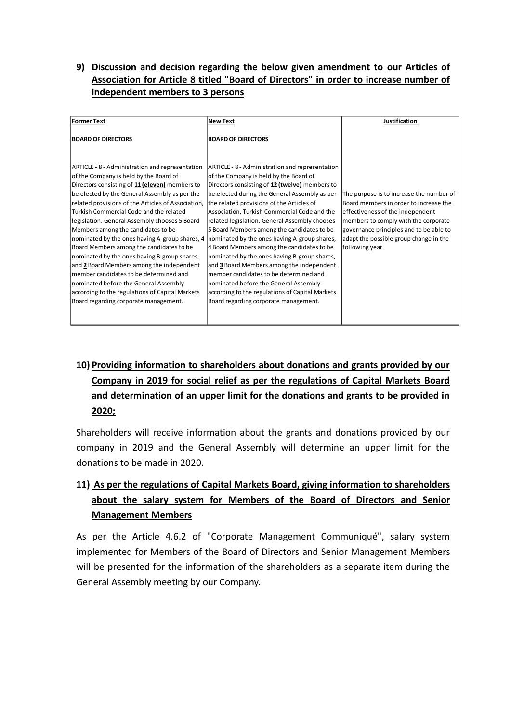### **9) Discussion and decision regarding the below given amendment to our Articles of Association for Article 8 titled "Board of Directors" in order to increase number of independent members to 3 persons**

| <b>BOARD OF DIRECTORS</b><br><b>BOARD OF DIRECTORS</b><br>ARTICLE - 8 - Administration and representation<br>ARTICLE - 8 - Administration and representation<br>of the Company is held by the Board of<br>of the Company is held by the Board of<br>Directors consisting of 11 (eleven) members to<br>Directors consisting of 12 (twelve) members to<br>be elected by the General Assembly as per the<br>be elected during the General Assembly as per<br>The purpose is to increase the number of<br>related provisions of the Articles of Association,<br>the related provisions of the Articles of<br>Board members in order to increase the<br>Turkish Commercial Code and the related<br>Association, Turkish Commercial Code and the<br>effectiveness of the independent<br>legislation. General Assembly chooses 5 Board<br>members to comply with the corporate<br>related legislation. General Assembly chooses<br>Members among the candidates to be<br>5 Board Members among the candidates to be<br>governance principles and to be able to<br>nominated by the ones having A-group shares, 4<br>nominated by the ones having A-group shares,<br>adapt the possible group change in the<br>Board Members among the candidates to be<br>4 Board Members among the candidates to be<br>following year.<br>nominated by the ones having B-group shares,<br>nominated by the ones having B-group shares,<br>and 3 Board Members among the independent<br>and 2 Board Members among the independent<br>member candidates to be determined and<br>member candidates to be determined and<br>nominated before the General Assembly<br>nominated before the General Assembly |                    |                 |               |
|----------------------------------------------------------------------------------------------------------------------------------------------------------------------------------------------------------------------------------------------------------------------------------------------------------------------------------------------------------------------------------------------------------------------------------------------------------------------------------------------------------------------------------------------------------------------------------------------------------------------------------------------------------------------------------------------------------------------------------------------------------------------------------------------------------------------------------------------------------------------------------------------------------------------------------------------------------------------------------------------------------------------------------------------------------------------------------------------------------------------------------------------------------------------------------------------------------------------------------------------------------------------------------------------------------------------------------------------------------------------------------------------------------------------------------------------------------------------------------------------------------------------------------------------------------------------------------------------------------------------------------------------------------------------------------|--------------------|-----------------|---------------|
|                                                                                                                                                                                                                                                                                                                                                                                                                                                                                                                                                                                                                                                                                                                                                                                                                                                                                                                                                                                                                                                                                                                                                                                                                                                                                                                                                                                                                                                                                                                                                                                                                                                                                  | <b>Former Text</b> | <b>New Text</b> | Justification |
|                                                                                                                                                                                                                                                                                                                                                                                                                                                                                                                                                                                                                                                                                                                                                                                                                                                                                                                                                                                                                                                                                                                                                                                                                                                                                                                                                                                                                                                                                                                                                                                                                                                                                  |                    |                 |               |
|                                                                                                                                                                                                                                                                                                                                                                                                                                                                                                                                                                                                                                                                                                                                                                                                                                                                                                                                                                                                                                                                                                                                                                                                                                                                                                                                                                                                                                                                                                                                                                                                                                                                                  |                    |                 |               |
|                                                                                                                                                                                                                                                                                                                                                                                                                                                                                                                                                                                                                                                                                                                                                                                                                                                                                                                                                                                                                                                                                                                                                                                                                                                                                                                                                                                                                                                                                                                                                                                                                                                                                  |                    |                 |               |
|                                                                                                                                                                                                                                                                                                                                                                                                                                                                                                                                                                                                                                                                                                                                                                                                                                                                                                                                                                                                                                                                                                                                                                                                                                                                                                                                                                                                                                                                                                                                                                                                                                                                                  |                    |                 |               |
|                                                                                                                                                                                                                                                                                                                                                                                                                                                                                                                                                                                                                                                                                                                                                                                                                                                                                                                                                                                                                                                                                                                                                                                                                                                                                                                                                                                                                                                                                                                                                                                                                                                                                  |                    |                 |               |
|                                                                                                                                                                                                                                                                                                                                                                                                                                                                                                                                                                                                                                                                                                                                                                                                                                                                                                                                                                                                                                                                                                                                                                                                                                                                                                                                                                                                                                                                                                                                                                                                                                                                                  |                    |                 |               |
|                                                                                                                                                                                                                                                                                                                                                                                                                                                                                                                                                                                                                                                                                                                                                                                                                                                                                                                                                                                                                                                                                                                                                                                                                                                                                                                                                                                                                                                                                                                                                                                                                                                                                  |                    |                 |               |
|                                                                                                                                                                                                                                                                                                                                                                                                                                                                                                                                                                                                                                                                                                                                                                                                                                                                                                                                                                                                                                                                                                                                                                                                                                                                                                                                                                                                                                                                                                                                                                                                                                                                                  |                    |                 |               |
|                                                                                                                                                                                                                                                                                                                                                                                                                                                                                                                                                                                                                                                                                                                                                                                                                                                                                                                                                                                                                                                                                                                                                                                                                                                                                                                                                                                                                                                                                                                                                                                                                                                                                  |                    |                 |               |
|                                                                                                                                                                                                                                                                                                                                                                                                                                                                                                                                                                                                                                                                                                                                                                                                                                                                                                                                                                                                                                                                                                                                                                                                                                                                                                                                                                                                                                                                                                                                                                                                                                                                                  |                    |                 |               |
|                                                                                                                                                                                                                                                                                                                                                                                                                                                                                                                                                                                                                                                                                                                                                                                                                                                                                                                                                                                                                                                                                                                                                                                                                                                                                                                                                                                                                                                                                                                                                                                                                                                                                  |                    |                 |               |
|                                                                                                                                                                                                                                                                                                                                                                                                                                                                                                                                                                                                                                                                                                                                                                                                                                                                                                                                                                                                                                                                                                                                                                                                                                                                                                                                                                                                                                                                                                                                                                                                                                                                                  |                    |                 |               |
|                                                                                                                                                                                                                                                                                                                                                                                                                                                                                                                                                                                                                                                                                                                                                                                                                                                                                                                                                                                                                                                                                                                                                                                                                                                                                                                                                                                                                                                                                                                                                                                                                                                                                  |                    |                 |               |
|                                                                                                                                                                                                                                                                                                                                                                                                                                                                                                                                                                                                                                                                                                                                                                                                                                                                                                                                                                                                                                                                                                                                                                                                                                                                                                                                                                                                                                                                                                                                                                                                                                                                                  |                    |                 |               |
|                                                                                                                                                                                                                                                                                                                                                                                                                                                                                                                                                                                                                                                                                                                                                                                                                                                                                                                                                                                                                                                                                                                                                                                                                                                                                                                                                                                                                                                                                                                                                                                                                                                                                  |                    |                 |               |
|                                                                                                                                                                                                                                                                                                                                                                                                                                                                                                                                                                                                                                                                                                                                                                                                                                                                                                                                                                                                                                                                                                                                                                                                                                                                                                                                                                                                                                                                                                                                                                                                                                                                                  |                    |                 |               |
|                                                                                                                                                                                                                                                                                                                                                                                                                                                                                                                                                                                                                                                                                                                                                                                                                                                                                                                                                                                                                                                                                                                                                                                                                                                                                                                                                                                                                                                                                                                                                                                                                                                                                  |                    |                 |               |
|                                                                                                                                                                                                                                                                                                                                                                                                                                                                                                                                                                                                                                                                                                                                                                                                                                                                                                                                                                                                                                                                                                                                                                                                                                                                                                                                                                                                                                                                                                                                                                                                                                                                                  |                    |                 |               |
| according to the regulations of Capital Markets<br>according to the regulations of Capital Markets                                                                                                                                                                                                                                                                                                                                                                                                                                                                                                                                                                                                                                                                                                                                                                                                                                                                                                                                                                                                                                                                                                                                                                                                                                                                                                                                                                                                                                                                                                                                                                               |                    |                 |               |
| Board regarding corporate management.<br>Board regarding corporate management.                                                                                                                                                                                                                                                                                                                                                                                                                                                                                                                                                                                                                                                                                                                                                                                                                                                                                                                                                                                                                                                                                                                                                                                                                                                                                                                                                                                                                                                                                                                                                                                                   |                    |                 |               |
|                                                                                                                                                                                                                                                                                                                                                                                                                                                                                                                                                                                                                                                                                                                                                                                                                                                                                                                                                                                                                                                                                                                                                                                                                                                                                                                                                                                                                                                                                                                                                                                                                                                                                  |                    |                 |               |
|                                                                                                                                                                                                                                                                                                                                                                                                                                                                                                                                                                                                                                                                                                                                                                                                                                                                                                                                                                                                                                                                                                                                                                                                                                                                                                                                                                                                                                                                                                                                                                                                                                                                                  |                    |                 |               |

# **10) Providing information to shareholders about donations and grants provided by our Company in 2019 for social relief as per the regulations of Capital Markets Board and determination of an upper limit for the donations and grants to be provided in 2020;**

Shareholders will receive information about the grants and donations provided by our company in 2019 and the General Assembly will determine an upper limit for the donations to be made in 2020.

# **11) As per the regulations of Capital Markets Board, giving information to shareholders about the salary system for Members of the Board of Directors and Senior Management Members**

As per the Article 4.6.2 of "Corporate Management Communiqué", salary system implemented for Members of the Board of Directors and Senior Management Members will be presented for the information of the shareholders as a separate item during the General Assembly meeting by our Company.